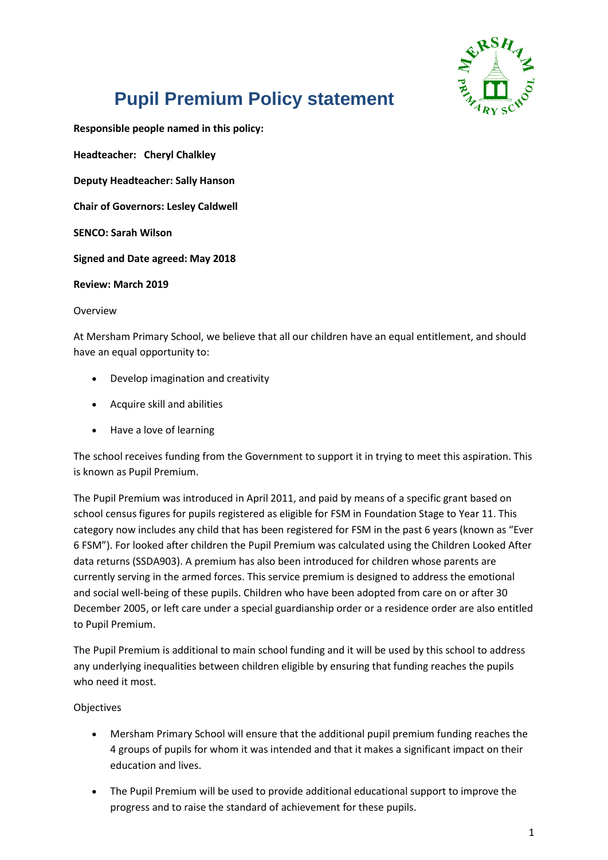

# **Pupil Premium Policy statement**

**Responsible people named in this policy:**

**Headteacher: Cheryl Chalkley Deputy Headteacher: Sally Hanson Chair of Governors: Lesley Caldwell SENCO: Sarah Wilson Signed and Date agreed: May 2018**

**Review: March 2019**

Overview

At Mersham Primary School, we believe that all our children have an equal entitlement, and should have an equal opportunity to:

- Develop imagination and creativity
- Acquire skill and abilities
- Have a love of learning

The school receives funding from the Government to support it in trying to meet this aspiration. This is known as Pupil Premium.

The Pupil Premium was introduced in April 2011, and paid by means of a specific grant based on school census figures for pupils registered as eligible for FSM in Foundation Stage to Year 11. This category now includes any child that has been registered for FSM in the past 6 years (known as "Ever 6 FSM"). For looked after children the Pupil Premium was calculated using the Children Looked After data returns (SSDA903). A premium has also been introduced for children whose parents are currently serving in the armed forces. This service premium is designed to address the emotional and social well-being of these pupils. Children who have been adopted from care on or after 30 December 2005, or left care under a special guardianship order or a residence order are also entitled to Pupil Premium.

The Pupil Premium is additional to main school funding and it will be used by this school to address any underlying inequalities between children eligible by ensuring that funding reaches the pupils who need it most.

### Objectives

- Mersham Primary School will ensure that the additional pupil premium funding reaches the 4 groups of pupils for whom it was intended and that it makes a significant impact on their education and lives.
- The Pupil Premium will be used to provide additional educational support to improve the progress and to raise the standard of achievement for these pupils.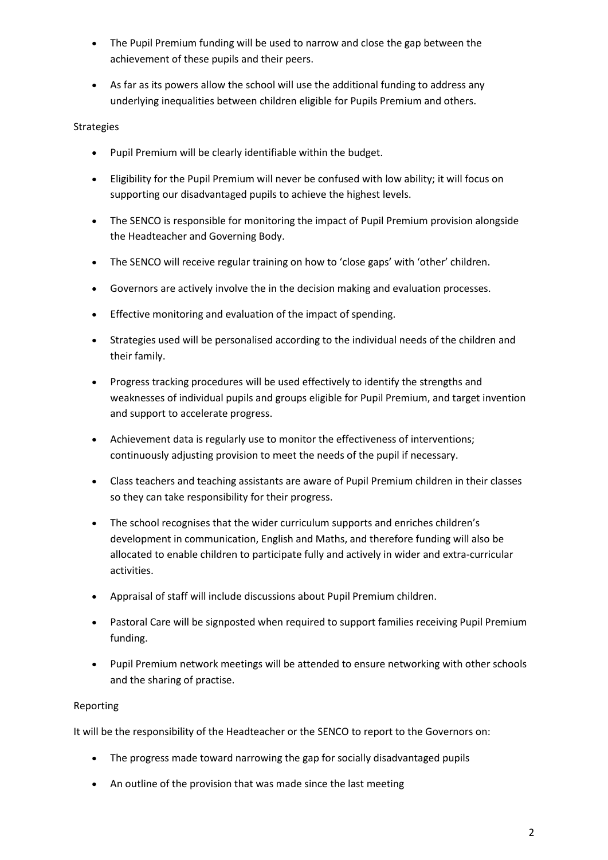- The Pupil Premium funding will be used to narrow and close the gap between the achievement of these pupils and their peers.
- As far as its powers allow the school will use the additional funding to address any underlying inequalities between children eligible for Pupils Premium and others.

## **Strategies**

- Pupil Premium will be clearly identifiable within the budget.
- Eligibility for the Pupil Premium will never be confused with low ability; it will focus on supporting our disadvantaged pupils to achieve the highest levels.
- The SENCO is responsible for monitoring the impact of Pupil Premium provision alongside the Headteacher and Governing Body.
- The SENCO will receive regular training on how to 'close gaps' with 'other' children.
- Governors are actively involve the in the decision making and evaluation processes.
- Effective monitoring and evaluation of the impact of spending.
- Strategies used will be personalised according to the individual needs of the children and their family.
- Progress tracking procedures will be used effectively to identify the strengths and weaknesses of individual pupils and groups eligible for Pupil Premium, and target invention and support to accelerate progress.
- Achievement data is regularly use to monitor the effectiveness of interventions; continuously adjusting provision to meet the needs of the pupil if necessary.
- Class teachers and teaching assistants are aware of Pupil Premium children in their classes so they can take responsibility for their progress.
- The school recognises that the wider curriculum supports and enriches children's development in communication, English and Maths, and therefore funding will also be allocated to enable children to participate fully and actively in wider and extra-curricular activities.
- Appraisal of staff will include discussions about Pupil Premium children.
- Pastoral Care will be signposted when required to support families receiving Pupil Premium funding.
- Pupil Premium network meetings will be attended to ensure networking with other schools and the sharing of practise.

### Reporting

It will be the responsibility of the Headteacher or the SENCO to report to the Governors on:

- The progress made toward narrowing the gap for socially disadvantaged pupils
- An outline of the provision that was made since the last meeting